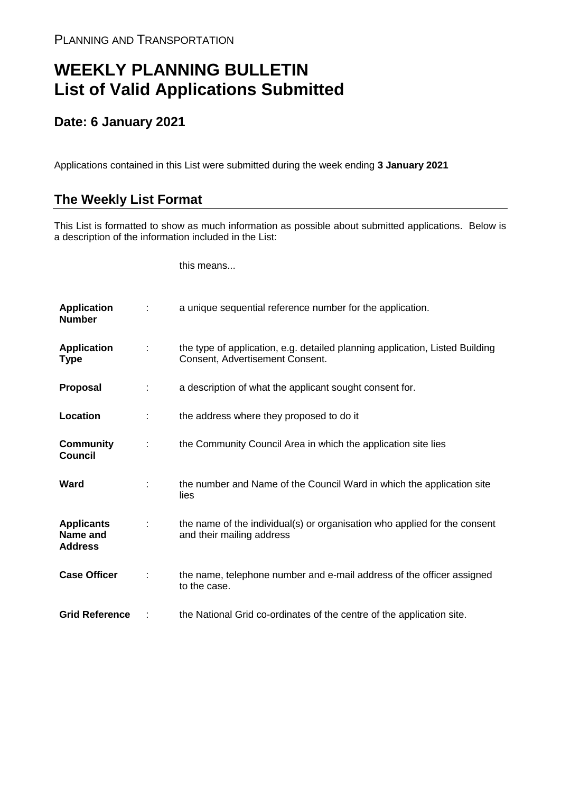## **WEEKLY PLANNING BULLETIN List of Valid Applications Submitted**

## **Date: 6 January 2021**

Applications contained in this List were submitted during the week ending **3 January 2021**

## **The Weekly List Format**

This List is formatted to show as much information as possible about submitted applications. Below is a description of the information included in the List:

this means...

| <b>Application</b><br><b>Number</b>             |               | a unique sequential reference number for the application.                                                       |
|-------------------------------------------------|---------------|-----------------------------------------------------------------------------------------------------------------|
| <b>Application</b><br>Type                      | $\mathcal{L}$ | the type of application, e.g. detailed planning application, Listed Building<br>Consent, Advertisement Consent. |
| <b>Proposal</b>                                 | ÷             | a description of what the applicant sought consent for.                                                         |
| Location                                        |               | the address where they proposed to do it                                                                        |
| <b>Community</b><br><b>Council</b>              | ÷             | the Community Council Area in which the application site lies                                                   |
| Ward                                            |               | the number and Name of the Council Ward in which the application site<br>lies                                   |
| <b>Applicants</b><br>Name and<br><b>Address</b> |               | the name of the individual(s) or organisation who applied for the consent<br>and their mailing address          |
| <b>Case Officer</b>                             |               | the name, telephone number and e-mail address of the officer assigned<br>to the case.                           |
| <b>Grid Reference</b>                           |               | the National Grid co-ordinates of the centre of the application site.                                           |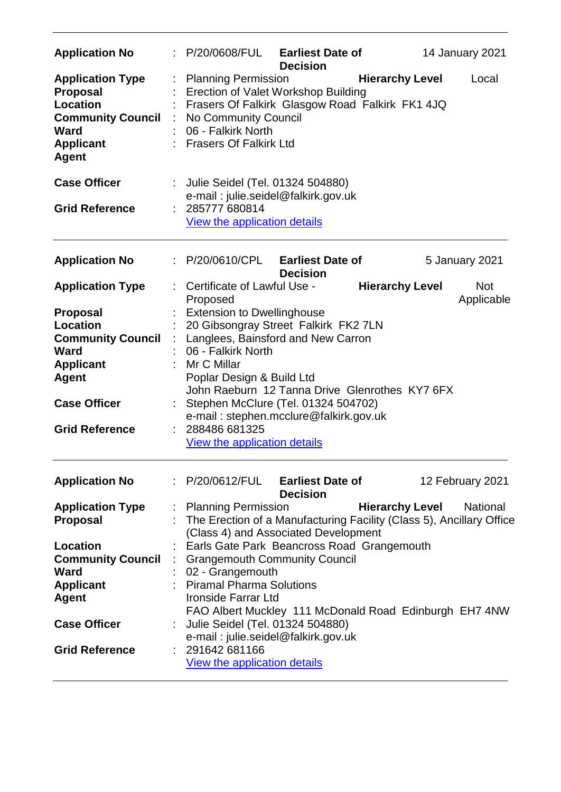| <b>Application No</b>                                                                                                                                      |                       | : P/20/0608/FUL Earliest Date of                                                                                                                                                                                                                                                                                                                                           | <b>Decision</b> |                        | 14 January 2021          |
|------------------------------------------------------------------------------------------------------------------------------------------------------------|-----------------------|----------------------------------------------------------------------------------------------------------------------------------------------------------------------------------------------------------------------------------------------------------------------------------------------------------------------------------------------------------------------------|-----------------|------------------------|--------------------------|
| <b>Application Type</b><br><b>Proposal</b><br><b>Location</b><br><b>Community Council</b><br><b>Ward</b><br><b>Applicant</b><br><b>Agent</b>               |                       | <b>Planning Permission</b><br>Erection of Valet Workshop Building<br>Frasers Of Falkirk Glasgow Road Falkirk FK1 4JQ<br>No Community Council<br>06 - Falkirk North<br>: Frasers Of Falkirk Ltd                                                                                                                                                                             |                 | <b>Hierarchy Level</b> | Local                    |
| <b>Case Officer</b>                                                                                                                                        | $\mathbb{Z}^{\times}$ | Julie Seidel (Tel. 01324 504880)<br>e-mail: julie.seidel@falkirk.gov.uk                                                                                                                                                                                                                                                                                                    |                 |                        |                          |
| <b>Grid Reference</b>                                                                                                                                      |                       | : 285777 680814<br><b>View the application details</b>                                                                                                                                                                                                                                                                                                                     |                 |                        |                          |
| <b>Application No</b>                                                                                                                                      |                       | : P/20/0610/CPL Earliest Date of                                                                                                                                                                                                                                                                                                                                           | <b>Decision</b> |                        | 5 January 2021           |
| <b>Application Type</b>                                                                                                                                    |                       | Certificate of Lawful Use -<br>Proposed                                                                                                                                                                                                                                                                                                                                    |                 | <b>Hierarchy Level</b> | <b>Not</b><br>Applicable |
| <b>Proposal</b><br>Location<br><b>Community Council</b><br><b>Ward</b><br><b>Applicant</b><br><b>Agent</b><br><b>Case Officer</b><br><b>Grid Reference</b> |                       | <b>Extension to Dwellinghouse</b><br>20 Gibsongray Street Falkirk FK2 7LN<br>Langlees, Bainsford and New Carron<br>06 - Falkirk North<br>Mr C Millar<br>Poplar Design & Build Ltd<br>John Raeburn 12 Tanna Drive Glenrothes KY7 6FX<br>: Stephen McClure (Tel. 01324 504702)<br>e-mail: stephen.mcclure@falkirk.gov.uk<br>288486 681325<br>View the application details    |                 |                        |                          |
| <b>Application No</b>                                                                                                                                      |                       | P/20/0612/FUL Earliest Date of                                                                                                                                                                                                                                                                                                                                             | <b>Decision</b> |                        | 12 February 2021         |
| <b>Application Type</b><br><b>Proposal</b><br>Location<br><b>Community Council</b><br><b>Ward</b><br><b>Applicant</b><br><b>Agent</b>                      |                       | : Planning Permission<br>The Erection of a Manufacturing Facility (Class 5), Ancillary Office<br>(Class 4) and Associated Development<br>Earls Gate Park Beancross Road Grangemouth<br><b>Grangemouth Community Council</b><br>02 - Grangemouth<br><b>Piramal Pharma Solutions</b><br><b>Ironside Farrar Ltd</b><br>FAO Albert Muckley 111 McDonald Road Edinburgh EH7 4NW |                 | <b>Hierarchy Level</b> | <b>National</b>          |
| <b>Case Officer</b><br><b>Grid Reference</b>                                                                                                               |                       | Julie Seidel (Tel. 01324 504880)<br>e-mail: julie.seidel@falkirk.gov.uk<br>291642 681166<br>View the application details                                                                                                                                                                                                                                                   |                 |                        |                          |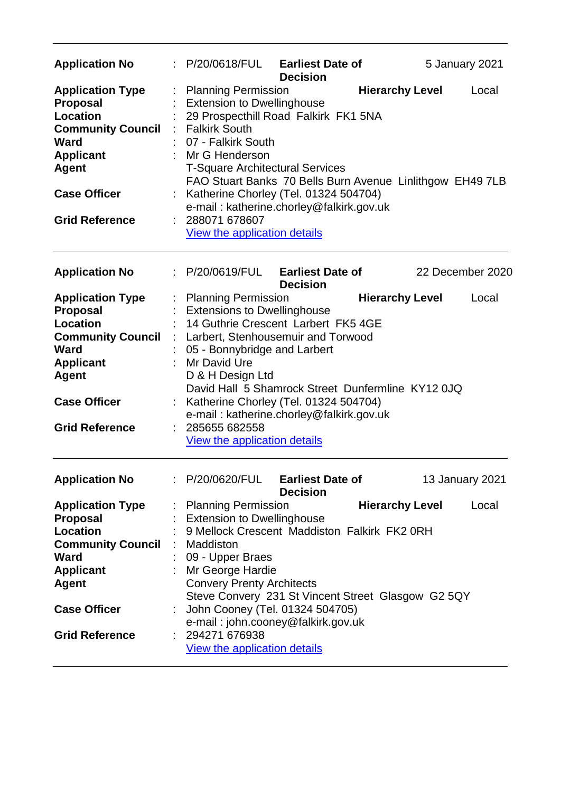| <b>Application No</b>                                                                                                                                                                 | P/20/0618/FUL                                                                                                                                                                                                                                                                                                                                                                                                         | <b>Earliest Date of</b><br><b>Decision</b> |                        | 5 January 2021   |
|---------------------------------------------------------------------------------------------------------------------------------------------------------------------------------------|-----------------------------------------------------------------------------------------------------------------------------------------------------------------------------------------------------------------------------------------------------------------------------------------------------------------------------------------------------------------------------------------------------------------------|--------------------------------------------|------------------------|------------------|
| <b>Application Type</b><br><b>Proposal</b><br>Location<br><b>Community Council</b><br><b>Ward</b><br><b>Applicant</b><br><b>Agent</b><br><b>Case Officer</b><br><b>Grid Reference</b> | <b>Planning Permission</b><br><b>Extension to Dwellinghouse</b><br>29 Prospecthill Road Falkirk FK1 5NA<br><b>Falkirk South</b><br>07 - Falkirk South<br>Mr G Henderson<br><b>T-Square Architectural Services</b><br>FAO Stuart Banks 70 Bells Burn Avenue Linlithgow EH49 7LB<br>Katherine Chorley (Tel. 01324 504704)<br>e-mail: katherine.chorley@falkirk.gov.uk<br>288071 678607<br>View the application details  |                                            | <b>Hierarchy Level</b> | Local            |
| <b>Application No</b>                                                                                                                                                                 | : P/20/0619/FUL                                                                                                                                                                                                                                                                                                                                                                                                       | <b>Earliest Date of</b><br><b>Decision</b> |                        | 22 December 2020 |
| <b>Application Type</b><br><b>Proposal</b><br>Location<br><b>Community Council</b><br>Ward<br><b>Applicant</b><br><b>Agent</b><br><b>Case Officer</b><br><b>Grid Reference</b>        | <b>Planning Permission</b><br><b>Extensions to Dwellinghouse</b><br>14 Guthrie Crescent Larbert FK5 4GE<br>: Larbert, Stenhousemuir and Torwood<br>05 - Bonnybridge and Larbert<br>Mr David Ure<br>D & H Design Ltd<br>David Hall 5 Shamrock Street Dunfermline KY12 0JQ<br>Katherine Chorley (Tel. 01324 504704)<br>e-mail: katherine.chorley@falkirk.gov.uk<br>285655 682558<br><b>View the application details</b> |                                            | <b>Hierarchy Level</b> | Local            |
| <b>Application No</b>                                                                                                                                                                 | P/20/0620/FUL                                                                                                                                                                                                                                                                                                                                                                                                         | <b>Earliest Date of</b><br><b>Decision</b> |                        | 13 January 2021  |
| <b>Application Type</b><br><b>Proposal</b><br>Location<br><b>Community Council</b><br><b>Ward</b><br><b>Applicant</b><br><b>Agent</b><br><b>Case Officer</b><br><b>Grid Reference</b> | <b>Planning Permission</b><br><b>Extension to Dwellinghouse</b><br>9 Mellock Crescent Maddiston Falkirk FK2 0RH<br>Maddiston<br>09 - Upper Braes<br>Mr George Hardie<br><b>Convery Prenty Architects</b><br>Steve Convery 231 St Vincent Street Glasgow G2 5QY<br>John Cooney (Tel. 01324 504705)<br>e-mail: john.cooney@falkirk.gov.uk<br>294271 676938<br>View the application details                              |                                            | <b>Hierarchy Level</b> | Local            |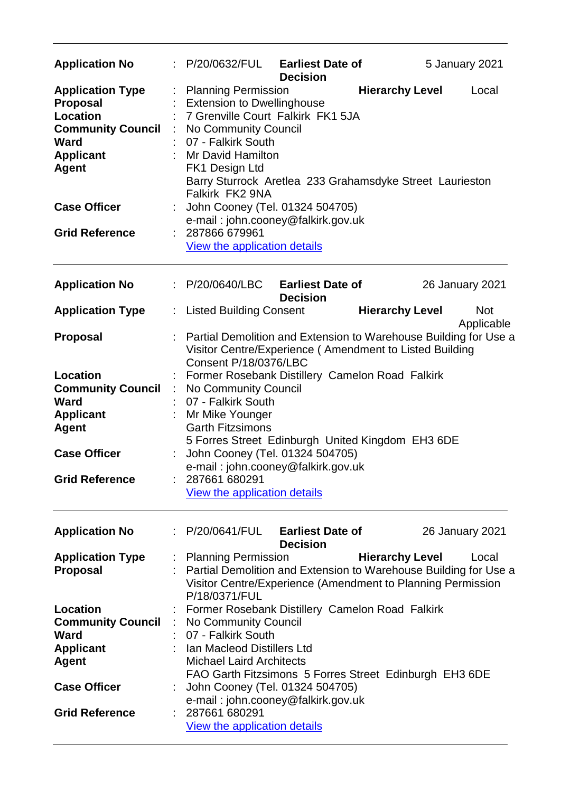| <b>Application No</b>                                                                                                                        |   | P/20/0632/FUL                                                                                                                                                                                                                                                                                     | <b>Earliest Date of</b><br><b>Decision</b> |                        | 5 January 2021         |            |
|----------------------------------------------------------------------------------------------------------------------------------------------|---|---------------------------------------------------------------------------------------------------------------------------------------------------------------------------------------------------------------------------------------------------------------------------------------------------|--------------------------------------------|------------------------|------------------------|------------|
| <b>Application Type</b><br><b>Proposal</b><br><b>Location</b><br><b>Community Council</b><br><b>Ward</b><br><b>Applicant</b><br><b>Agent</b> |   | <b>Planning Permission</b><br><b>Extension to Dwellinghouse</b><br>7 Grenville Court Falkirk FK1 5JA<br>No Community Council<br>07 - Falkirk South<br>Mr David Hamilton<br>FK1 Design Ltd<br>Barry Sturrock Aretlea 233 Grahamsdyke Street Laurieston<br>Falkirk FK2 9NA                          |                                            | <b>Hierarchy Level</b> |                        | Local      |
| <b>Case Officer</b>                                                                                                                          |   | John Cooney (Tel. 01324 504705)<br>e-mail: john.cooney@falkirk.gov.uk                                                                                                                                                                                                                             |                                            |                        |                        |            |
| <b>Grid Reference</b>                                                                                                                        |   | 287866 679961<br>View the application details                                                                                                                                                                                                                                                     |                                            |                        |                        |            |
| <b>Application No</b>                                                                                                                        | ÷ | P/20/0640/LBC                                                                                                                                                                                                                                                                                     | <b>Earliest Date of</b><br><b>Decision</b> |                        | <b>26 January 2021</b> |            |
| <b>Application Type</b>                                                                                                                      | ÷ | Listed Building Consent                                                                                                                                                                                                                                                                           |                                            | <b>Hierarchy Level</b> |                        | <b>Not</b> |
| <b>Proposal</b>                                                                                                                              |   | Partial Demolition and Extension to Warehouse Building for Use a<br>Visitor Centre/Experience (Amendment to Listed Building<br>Consent P/18/0376/LBC                                                                                                                                              |                                            |                        |                        | Applicable |
| Location<br><b>Community Council</b><br><b>Ward</b><br><b>Applicant</b><br><b>Agent</b><br><b>Case Officer</b>                               |   | Former Rosebank Distillery Camelon Road Falkirk<br>No Community Council<br>07 - Falkirk South<br>Mr Mike Younger<br><b>Garth Fitzsimons</b><br>5 Forres Street Edinburgh United Kingdom EH3 6DE<br>John Cooney (Tel. 01324 504705)<br>e-mail: john.cooney@falkirk.gov.uk                          |                                            |                        |                        |            |
| <b>Grid Reference</b>                                                                                                                        |   | 287661 680291<br>View the application details                                                                                                                                                                                                                                                     |                                            |                        |                        |            |
| <b>Application No</b>                                                                                                                        |   | : P/20/0641/FUL                                                                                                                                                                                                                                                                                   | <b>Earliest Date of</b><br><b>Decision</b> |                        | <b>26 January 2021</b> |            |
| <b>Application Type</b><br><b>Proposal</b>                                                                                                   |   | <b>Planning Permission</b><br>Partial Demolition and Extension to Warehouse Building for Use a<br>Visitor Centre/Experience (Amendment to Planning Permission<br>P/18/0371/FUL                                                                                                                    |                                            | <b>Hierarchy Level</b> |                        | Local      |
| <b>Location</b><br><b>Community Council</b><br><b>Ward</b><br><b>Applicant</b><br><b>Agent</b><br><b>Case Officer</b>                        |   | Former Rosebank Distillery Camelon Road Falkirk<br>No Community Council<br>07 - Falkirk South<br>Ian Macleod Distillers Ltd<br><b>Michael Laird Architects</b><br>FAO Garth Fitzsimons 5 Forres Street Edinburgh EH3 6DE<br>John Cooney (Tel. 01324 504705)<br>e-mail: john.cooney@falkirk.gov.uk |                                            |                        |                        |            |
| <b>Grid Reference</b>                                                                                                                        |   | 287661 680291<br><b>View the application details</b>                                                                                                                                                                                                                                              |                                            |                        |                        |            |